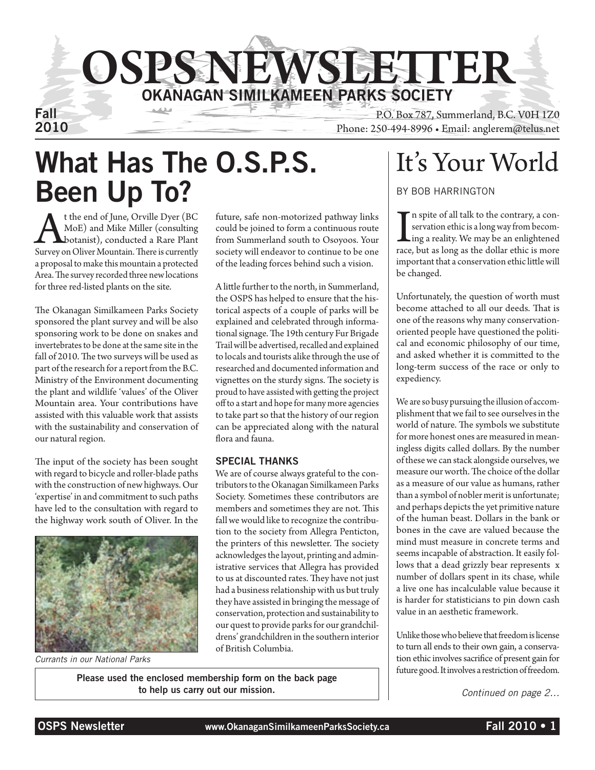

Fall P.O. Box 787, Summerland, B.C. V0H 1Z0 Phone: 250-494-8996 • Email: anglerem@telus.net

# What Has The O.S.P.S. Been Up To?

**A** t the end of June, Orville Dyer (BC MoE) and Mike Miller (consulting botanist), conducted a Rare Plant Survey on Oliver Mountain. There is currently MoE) and Mike Miller (consulting botanist), conducted a Rare Plant a proposal to make this mountain a protected Area. The survey recorded three new locations for three red-listed plants on the site.

The Okanagan Similkameen Parks Society sponsored the plant survey and will be also sponsoring work to be done on snakes and invertebrates to be done at the same site in the fall of 2010. The two surveys will be used as part of the research for a report from the B.C. Ministry of the Environment documenting the plant and wildlife 'values' of the Oliver Mountain area. Your contributions have assisted with this valuable work that assists with the sustainability and conservation of our natural region.

The input of the society has been sought with regard to bicycle and roller-blade paths with the construction of new highways. Our 'expertise' in and commitment to such paths have led to the consultation with regard to the highway work south of Oliver. In the



*Currants in our National Parks*

future, safe non-motorized pathway links could be joined to form a continuous route from Summerland south to Osoyoos. Your society will endeavor to continue to be one of the leading forces behind such a vision.

A little further to the north, in Summerland, the OSPS has helped to ensure that the historical aspects of a couple of parks will be explained and celebrated through informational signage. The 19th century Fur Brigade Trail will be advertised, recalled and explained to locals and tourists alike through the use of researched and documented information and vignettes on the sturdy signs. The society is proud to have assisted with getting the project off to a start and hope for many more agencies to take part so that the history of our region can be appreciated along with the natural flora and fauna.

#### Special Thanks

We are of course always grateful to the contributors to the Okanagan Similkameen Parks Society. Sometimes these contributors are members and sometimes they are not. This fall we would like to recognize the contribution to the society from Allegra Penticton, the printers of this newsletter. The society acknowledges the layout, printing and administrative services that Allegra has provided to us at discounted rates. They have not just had a business relationship with us but truly they have assisted in bringing the message of conservation, protection and sustainability to our quest to provide parks for our grandchildrens' grandchildren in the southern interior of British Columbia.

Please used the enclosed membership form on the back page to help us carry out our mission.

## It's Your World

by Bob Harrington

In spite of all talk to the contrary, a conservation ethic is a long way from becoming a reality. We may be an enlightened race, but as long as the dollar ethic is more n spite of all talk to the contrary, a conservation ethic is a long way from becom-**L**ing a reality. We may be an enlightened important that a conservation ethic little will be changed.

Unfortunately, the question of worth must become attached to all our deeds. That is one of the reasons why many conservationoriented people have questioned the political and economic philosophy of our time, and asked whether it is committed to the long-term success of the race or only to expediency.

We are so busy pursuing the illusion of accomplishment that we fail to see ourselves in the world of nature. The symbols we substitute for more honest ones are measured in meaningless digits called dollars. By the number of these we can stack alongside ourselves, we measure our worth. The choice of the dollar as a measure of our value as humans, rather than a symbol of nobler merit is unfortunate; and perhaps depicts the yet primitive nature of the human beast. Dollars in the bank or bones in the cave are valued because the mind must measure in concrete terms and seems incapable of abstraction. It easily follows that a dead grizzly bear represents x number of dollars spent in its chase, while a live one has incalculable value because it is harder for statisticians to pin down cash value in an aesthetic framework.

Unlike those who believe that freedom is license to turn all ends to their own gain, a conservation ethic involves sacrifice of present gain for future good. It involves a restriction of freedom.

*Continued on page 2…*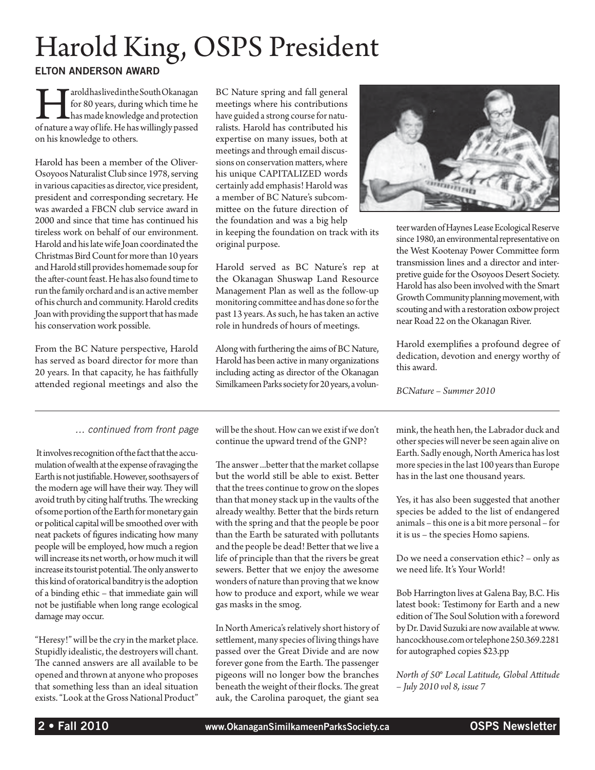# Harold King, OSPS President

Elton Anderson Award

Tarold has lived in the South Okanagan<br>for 80 years, during which time he<br>has made knowledge and protection<br>of nature a way of life. He has willingly passed for 80 years, during which time he has made knowledge and protection on his knowledge to others.

Harold has been a member of the Oliver-Osoyoos Naturalist Club since 1978, serving in various capacities as director, vice president, president and corresponding secretary. He was awarded a FBCN club service award in 2000 and since that time has continued his tireless work on behalf of our environment. Harold and his late wife Joan coordinated the Christmas Bird Count for more than 10 years and Harold still provides homemade soup for the after-count feast. He has also found time to run the family orchard and is an active member of his church and community. Harold credits Joan with providing the support that has made his conservation work possible.

From the BC Nature perspective, Harold has served as board director for more than 20 years. In that capacity, he has faithfully attended regional meetings and also the

#### *… continued from front page*

 It involves recognition of the fact that the accumulation of wealth at the expense of ravaging the Earth is not justifiable. However, soothsayers of the modern age will have their way. They will avoid truth by citing half truths. The wrecking of some portion of the Earth for monetary gain or political capital will be smoothed over with neat packets of figures indicating how many people will be employed, how much a region will increase its net worth, or how much it will increase its tourist potential. The only answer to this kind of oratorical banditry is the adoption of a binding ethic – that immediate gain will not be justifiable when long range ecological damage may occur.

"Heresy!" will be the cry in the market place. Stupidly idealistic, the destroyers will chant. The canned answers are all available to be opened and thrown at anyone who proposes that something less than an ideal situation exists. "Look at the Gross National Product"

BC Nature spring and fall general meetings where his contributions have guided a strong course for naturalists. Harold has contributed his expertise on many issues, both at meetings and through email discussions on conservation matters, where his unique CAPITALIZED words certainly add emphasis! Harold was a member of BC Nature's subcommittee on the future direction of the foundation and was a big help in keeping the foundation on track with its original purpose.

Harold served as BC Nature's rep at the Okanagan Shuswap Land Resource Management Plan as well as the follow-up monitoring committee and has done so for the past 13 years. As such, he has taken an active role in hundreds of hours of meetings.

Along with furthering the aims of BC Nature, Harold has been active in many organizations including acting as director of the Okanagan Similkameen Parks society for 20 years, a volun-

will be the shout. How can we exist if we don't continue the upward trend of the GNP?

The answer ...better that the market collapse but the world still be able to exist. Better that the trees continue to grow on the slopes than that money stack up in the vaults of the already wealthy. Better that the birds return with the spring and that the people be poor than the Earth be saturated with pollutants and the people be dead! Better that we live a life of principle than that the rivers be great sewers. Better that we enjoy the awesome wonders of nature than proving that we know how to produce and export, while we wear gas masks in the smog.

In North America's relatively short history of settlement, many species of living things have passed over the Great Divide and are now forever gone from the Earth. The passenger pigeons will no longer bow the branches beneath the weight of their flocks. The great auk, the Carolina paroquet, the giant sea



teer warden of Haynes Lease Ecological Reserve since 1980, an environmental representative on the West Kootenay Power Committee form transmission lines and a director and interpretive guide for the Osoyoos Desert Society. Harold has also been involved with the Smart Growth Community planning movement, with scouting and with a restoration oxbow project near Road 22 on the Okanagan River.

Harold exemplifies a profound degree of dedication, devotion and energy worthy of this award.

*BCNature – Summer 2010*

mink, the heath hen, the Labrador duck and other species will never be seen again alive on Earth. Sadly enough, North America has lost more species in the last 100 years than Europe has in the last one thousand years.

Yes, it has also been suggested that another species be added to the list of endangered animals – this one is a bit more personal – for it is us – the species Homo sapiens.

Do we need a conservation ethic? – only as we need life. It's Your World!

Bob Harrington lives at Galena Bay, B.C. His latest book: Testimony for Earth and a new edition of The Soul Solution with a foreword by Dr. David Suzuki are now available at www. hancockhouse.com or telephone 250.369.2281 for autographed copies \$23.pp

*North of 50° Local Latitude, Global Attitude – July 2010 vol 8, issue 7*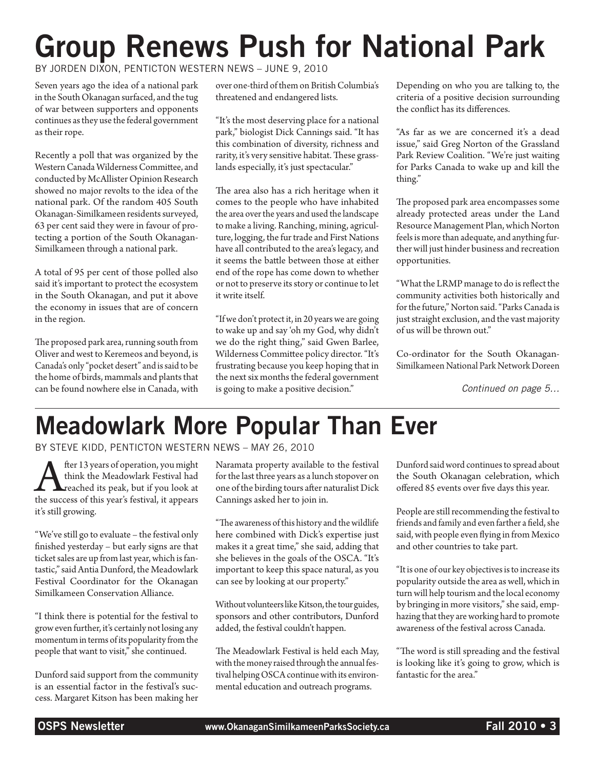# Group Renews Push for National Park

by Jorden Dixon, Penticton Western News – June 9, 2010

Seven years ago the idea of a national park in the South Okanagan surfaced, and the tug of war between supporters and opponents continues as they use the federal government as their rope.

Recently a poll that was organized by the Western Canada Wilderness Committee, and conducted by McAllister Opinion Research showed no major revolts to the idea of the national park. Of the random 405 South Okanagan-Similkameen residents surveyed, 63 per cent said they were in favour of protecting a portion of the South Okanagan-Similkameen through a national park.

A total of 95 per cent of those polled also said it's important to protect the ecosystem in the South Okanagan, and put it above the economy in issues that are of concern in the region.

The proposed park area, running south from Oliver and west to Keremeos and beyond, is Canada's only "pocket desert" and is said to be the home of birds, mammals and plants that can be found nowhere else in Canada, with over one-third of them on British Columbia's threatened and endangered lists.

"It's the most deserving place for a national park," biologist Dick Cannings said. "It has this combination of diversity, richness and rarity, it's very sensitive habitat. These grasslands especially, it's just spectacular."

The area also has a rich heritage when it comes to the people who have inhabited the area over the years and used the landscape to make a living. Ranching, mining, agriculture, logging, the fur trade and First Nations have all contributed to the area's legacy, and it seems the battle between those at either end of the rope has come down to whether or not to preserve its story or continue to let it write itself.

"If we don't protect it, in 20 years we are going to wake up and say 'oh my God, why didn't we do the right thing," said Gwen Barlee, Wilderness Committee policy director. "It's frustrating because you keep hoping that in the next six months the federal government is going to make a positive decision."

Depending on who you are talking to, the criteria of a positive decision surrounding the conflict has its differences.

"As far as we are concerned it's a dead issue," said Greg Norton of the Grassland Park Review Coalition. "We're just waiting for Parks Canada to wake up and kill the thing."

The proposed park area encompasses some already protected areas under the Land Resource Management Plan, which Norton feels is more than adequate, and anything further will just hinder business and recreation opportunities.

"What the LRMP manage to do is reflect the community activities both historically and for the future," Norton said. "Parks Canada is just straight exclusion, and the vast majority of us will be thrown out."

Co-ordinator for the South Okanagan-Similkameen National Park Network Doreen

*Continued on page 5…*

# Meadowlark More Popular Than Ever

by Steve Kidd, Penticton Western News – May 26, 2010

After 13 years of operation, you might<br>think the Meadowlark Festival had<br>the success of this year's festival, it appears think the Meadowlark Festival had **L**reached its peak, but if you look at it's still growing.

"We've still go to evaluate – the festival only finished yesterday – but early signs are that ticket sales are up from last year, which is fantastic," said Antia Dunford, the Meadowlark Festival Coordinator for the Okanagan Similkameen Conservation Alliance.

"I think there is potential for the festival to grow even further, it's certainly not losing any momentum in terms of its popularity from the people that want to visit," she continued.

Dunford said support from the community is an essential factor in the festival's success. Margaret Kitson has been making her Naramata property available to the festival for the last three years as a lunch stopover on one of the birding tours after naturalist Dick Cannings asked her to join in.

"The awareness of this history and the wildlife here combined with Dick's expertise just makes it a great time," she said, adding that she believes in the goals of the OSCA. "It's important to keep this space natural, as you can see by looking at our property."

Without volunteers like Kitson, the tour guides, sponsors and other contributors, Dunford added, the festival couldn't happen.

The Meadowlark Festival is held each May, with the money raised through the annual festival helping OSCA continue with its environmental education and outreach programs.

Dunford said word continues to spread about the South Okanagan celebration, which offered 85 events over five days this year.

People are still recommending the festival to friends and family and even farther a field, she said, with people even flying in from Mexico and other countries to take part.

"It is one of our key objectives is to increase its popularity outside the area as well, which in turn will help tourism and the local economy by bringing in more visitors," she said, emphazing that they are working hard to promote awareness of the festival across Canada.

"The word is still spreading and the festival is looking like it's going to grow, which is fantastic for the area."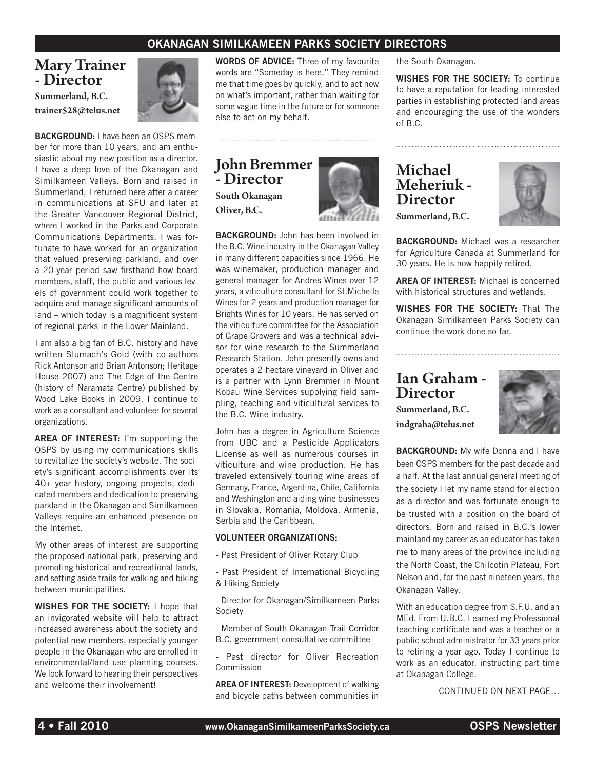#### OKANAGAN SIMILKAMEEN PARKS SOCIETY DIRECTORS

#### Mary Trainer - Director

Summerland, B.C. trainer528@telus.net



**BACKGROUND: I have been an OSPS mem**ber for more than 10 years, and am enthusiastic about my new position as a director. I have a deep love of the Okanagan and Similkameen Valleys. Born and raised in Summerland, I returned here after a career in communications at SFU and later at the Greater Vancouver Regional District, where I worked in the Parks and Corporate Communications Departments. I was fortunate to have worked for an organization that valued preserving parkland, and over a 20-year period saw firsthand how board members, staff, the public and various levels of government could work together to acquire and manage significant amounts of land – which today is a magnificent system of regional parks in the Lower Mainland.

I am also a big fan of B.C. history and have written Slumach's Gold (with co-authors Rick Antonson and Brian Antonson; Heritage House 2007) and The Edge of the Centre (history of Naramata Centre) published by Wood Lake Books in 2009. I continue to work as a consultant and volunteer for several organizations.

AREA OF INTEREST: I'm supporting the OSPS by using my communications skills to revitalize the society's website. The society's significant accomplishments over its 40+ year history, ongoing projects, dedicated members and dedication to preserving parkland in the Okanagan and Similkameen Valleys require an enhanced presence on the Internet.

My other areas of interest are supporting the proposed national park, preserving and promoting historical and recreational lands, and setting aside trails for walking and biking between municipalities.

WISHES FOR THE SOCIETY: I hope that an invigorated website will help to attract increased awareness about the society and potential new members, especially younger people in the Okanagan who are enrolled in environmental/land use planning courses. We look forward to hearing their perspectives and welcome their involvement!

**WORDS OF ADVICE:** Three of my favourite words are "Someday is here." They remind me that time goes by quickly, and to act now on what's important, rather than waiting for some vague time in the future or for someone else to act on my behalf.

#### John Bremmer - Director South Okanagan Oliver, B.C.

BACKGROUND: John has been involved in the B.C. Wine industry in the Okanagan Valley in many different capacities since 1966. He was winemaker, production manager and general manager for Andres Wines over 12 years, a viticulture consultant for St.Michelle Wines for 2 years and production manager for Brights Wines for 10 years. He has served on the viticulture committee for the Association of Grape Growers and was a technical advisor for wine research to the Summerland Research Station. John presently owns and operates a 2 hectare vineyard in Oliver and is a partner with Lynn Bremmer in Mount Kobau Wine Services supplying field sampling, teaching and viticultural services to the B.C. Wine industry.

John has a degree in Agriculture Science from UBC and a Pesticide Applicators License as well as numerous courses in viticulture and wine production. He has traveled extensively touring wine areas of Germany, France, Argentina, Chile, California and Washington and aiding wine businesses in Slovakia, Romania, Moldova, Armenia, Serbia and the Caribbean.

#### VOLUNTEER ORGANIZATIONS:

- Past President of Oliver Rotary Club

- Past President of International Bicycling & Hiking Society

- Director for Okanagan/Similkameen Parks Society

- Member of South Okanagan-Trail Corridor B.C. government consultative committee

- Past director for Oliver Recreation Commission

AREA OF INTEREST: Development of walking and bicycle paths between communities in

the South Okanagan.

WISHES FOR THE SOCIETY: To continue to have a reputation for leading interested parties in establishing protected land areas and encouraging the use of the wonders of B.C.

#### Michael Meheriuk - **Director** Summerland, B.C.



BACKGROUND: Michael was a researcher for Agriculture Canada at Summerland for 30 years. He is now happily retired.

**AREA OF INTEREST:** Michael is concerned with historical structures and wetlands.

WISHES FOR THE SOCIETY: That The Okanagan Similkameen Parks Society can continue the work done so far.

#### Ian Graham - **Director**

Summerland, B.C. indgraha@telus.net



BACKGROUND: My wife Donna and I have been OSPS members for the past decade and a half. At the last annual general meeting of the society I let my name stand for election as a director and was fortunate enough to be trusted with a position on the board of directors. Born and raised in B.C.'s lower mainland my career as an educator has taken me to many areas of the province including the North Coast, the Chilcotin Plateau, Fort Nelson and, for the past nineteen years, the Okanagan Valley.

With an education degree from S.F.U. and an MEd. From U.B.C. I earned my Professional teaching certificate and was a teacher or a public school administrator for 33 years prior to retiring a year ago. Today I continue to work as an educator, instructing part time at Okanagan College.

CONTINUED ON NEXT PAGE…

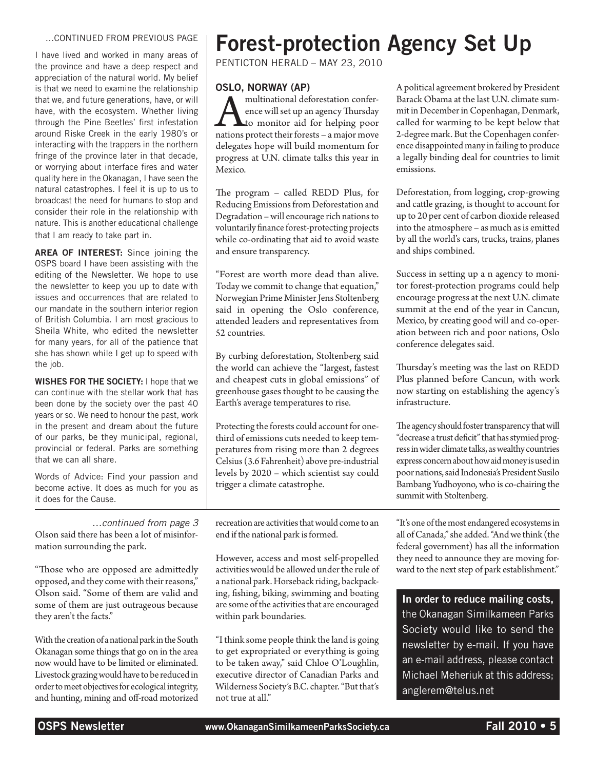#### …CONTINUED FROM PREVIOUS PAGE

I have lived and worked in many areas of the province and have a deep respect and appreciation of the natural world. My belief is that we need to examine the relationship that we, and future generations, have, or will have, with the ecosystem. Whether living through the Pine Beetles' first infestation around Riske Creek in the early 1980's or interacting with the trappers in the northern fringe of the province later in that decade, or worrying about interface fires and water quality here in the Okanagan, I have seen the natural catastrophes. I feel it is up to us to broadcast the need for humans to stop and consider their role in the relationship with nature. This is another educational challenge that I am ready to take part in.

AREA OF INTEREST: Since joining the OSPS board I have been assisting with the editing of the Newsletter. We hope to use the newsletter to keep you up to date with issues and occurrences that are related to our mandate in the southern interior region of British Columbia. I am most gracious to Sheila White, who edited the newsletter for many years, for all of the patience that she has shown while I get up to speed with the job.

WISHES FOR THE SOCIETY: I hope that we can continue with the stellar work that has been done by the society over the past 40 years or so. We need to honour the past, work in the present and dream about the future of our parks, be they municipal, regional, provincial or federal. Parks are something that we can all share.

Words of Advice: Find your passion and become active. It does as much for you as it does for the Cause.

*…continued from page 3* Olson said there has been a lot of misinformation surrounding the park.

"Those who are opposed are admittedly opposed, and they come with their reasons," Olson said. "Some of them are valid and some of them are just outrageous because they aren't the facts."

With the creation of a national park in the South Okanagan some things that go on in the area now would have to be limited or eliminated. Livestock grazing would have to be reduced in order to meet objectives for ecological integrity, and hunting, mining and off-road motorized

## Forest-protection Agency Set Up

Penticton Herald – May 23, 2010

#### Oslo, Norway (AP)

**A multinational deforestation conference will set up an agency Thursday**<br>to monitor aid for helping poor<br>nations protect their forests – a major move ence will set up an agency Thursday **L**to monitor aid for helping poor delegates hope will build momentum for progress at U.N. climate talks this year in Mexico.

The program – called REDD Plus, for Reducing Emissions from Deforestation and Degradation – will encourage rich nations to voluntarily finance forest-protecting projects while co-ordinating that aid to avoid waste and ensure transparency.

"Forest are worth more dead than alive. Today we commit to change that equation," Norwegian Prime Minister Jens Stoltenberg said in opening the Oslo conference, attended leaders and representatives from 52 countries.

By curbing deforestation, Stoltenberg said the world can achieve the "largest, fastest and cheapest cuts in global emissions" of greenhouse gases thought to be causing the Earth's average temperatures to rise.

Protecting the forests could account for onethird of emissions cuts needed to keep temperatures from rising more than 2 degrees Celsius (3.6 Fahrenheit) above pre-industrial levels by 2020 – which scientist say could trigger a climate catastrophe.

recreation are activities that would come to an end if the national park is formed.

However, access and most self-propelled activities would be allowed under the rule of a national park. Horseback riding, backpacking, fishing, biking, swimming and boating are some of the activities that are encouraged within park boundaries.

"I think some people think the land is going to get expropriated or everything is going to be taken away," said Chloe O'Loughlin, executive director of Canadian Parks and Wilderness Society's B.C. chapter. "But that's not true at all."

A political agreement brokered by President Barack Obama at the last U.N. climate summit in December in Copenhagan, Denmark, called for warming to be kept below that 2-degree mark. But the Copenhagen conference disappointed many in failing to produce a legally binding deal for countries to limit emissions.

Deforestation, from logging, crop-growing and cattle grazing, is thought to account for up to 20 per cent of carbon dioxide released into the atmosphere – as much as is emitted by all the world's cars, trucks, trains, planes and ships combined.

Success in setting up a n agency to monitor forest-protection programs could help encourage progress at the next U.N. climate summit at the end of the year in Cancun, Mexico, by creating good will and co-operation between rich and poor nations, Oslo conference delegates said.

Thursday's meeting was the last on REDD Plus planned before Cancun, with work now starting on establishing the agency's infrastructure.

The agency should foster transparency that will "decrease a trust deficit" that has stymied progress in wider climate talks, as wealthy countries express concern about how aid money is used in poor nations, said Indonesia's President Susilo Bambang Yudhoyono, who is co-chairing the summit with Stoltenberg.

"It's one of the most endangered ecosystems in all of Canada," she added. "And we think (the federal government) has all the information they need to announce they are moving forward to the next step of park establishment."

In order to reduce mailing costs, the Okanagan Similkameen Parks Society would like to send the newsletter by e-mail. If you have an e-mail address, please contact Michael Meheriuk at this address; anglerem@telus.net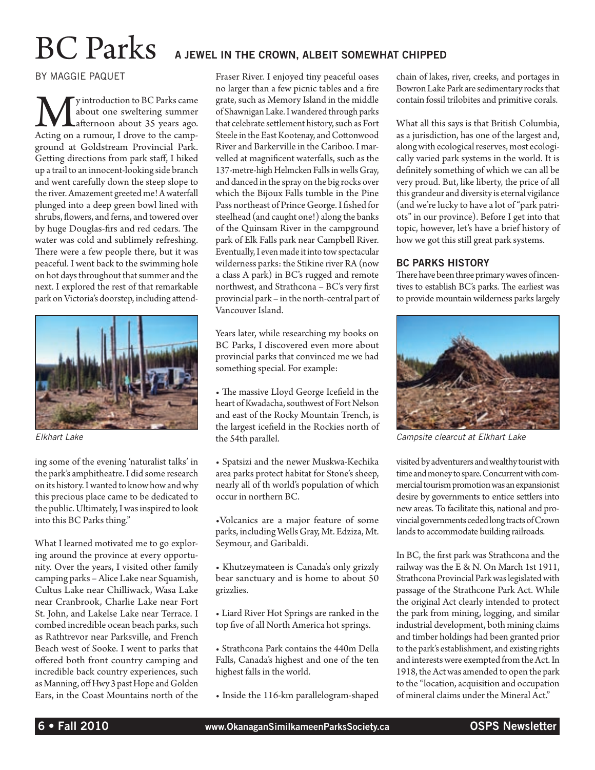#### by Maggie Paquet

We yintroduction to BC Parks came<br>about one sweltering summer<br>Acting on a rumour, I drove to the campabout one sweltering summer afternoon about 35 years ago. ground at Goldstream Provincial Park. Getting directions from park staff, I hiked up a trail to an innocent-looking side branch and went carefully down the steep slope to the river. Amazement greeted me! A waterfall plunged into a deep green bowl lined with shrubs, flowers, and ferns, and towered over by huge Douglas-firs and red cedars. The water was cold and sublimely refreshing. There were a few people there, but it was peaceful. I went back to the swimming hole on hot days throughout that summer and the next. I explored the rest of that remarkable park on Victoria's doorstep, including attend-



ing some of the evening 'naturalist talks' in the park's amphitheatre. I did some research on its history. I wanted to know how and why this precious place came to be dedicated to the public. Ultimately, I was inspired to look into this BC Parks thing."

What I learned motivated me to go exploring around the province at every opportunity. Over the years, I visited other family camping parks – Alice Lake near Squamish, Cultus Lake near Chilliwack, Wasa Lake near Cranbrook, Charlie Lake near Fort St. John, and Lakelse Lake near Terrace. I combed incredible ocean beach parks, such as Rathtrevor near Parksville, and French Beach west of Sooke. I went to parks that offered both front country camping and incredible back country experiences, such as Manning, off Hwy 3 past Hope and Golden Ears, in the Coast Mountains north of the

## $\operatorname{BC}$   $\operatorname{Parts}$  a jewel in the crown, albeit somewhat chipped

Fraser River. I enjoyed tiny peaceful oases no larger than a few picnic tables and a fire grate, such as Memory Island in the middle of Shawnigan Lake. I wandered through parks that celebrate settlement history, such as Fort Steele in the East Kootenay, and Cottonwood River and Barkerville in the Cariboo. I marvelled at magnificent waterfalls, such as the 137-metre-high Helmcken Falls in wells Gray, and danced in the spray on the big rocks over which the Bijoux Falls tumble in the Pine Pass northeast of Prince George. I fished for steelhead (and caught one!) along the banks of the Quinsam River in the campground park of Elk Falls park near Campbell River. Eventually, I even made it into tow spectacular wilderness parks: the Stikine river RA (now a class A park) in BC's rugged and remote northwest, and Strathcona – BC's very first provincial park – in the north-central part of Vancouver Island.

Years later, while researching my books on BC Parks, I discovered even more about provincial parks that convinced me we had something special. For example:

• The massive Lloyd George Icefield in the heart of Kwadacha, southwest of Fort Nelson and east of the Rocky Mountain Trench, is the largest icefield in the Rockies north of the 54th parallel. *Elkhart Lake Campsite clearcut at Elkhart Lake*

> • Spatsizi and the newer Muskwa-Kechika area parks protect habitat for Stone's sheep, nearly all of th world's population of which occur in northern BC.

> •Volcanics are a major feature of some parks, including Wells Gray, Mt. Edziza, Mt. Seymour, and Garibaldi.

- Khutzeymateen is Canada's only grizzly bear sanctuary and is home to about 50 grizzlies.
- Liard River Hot Springs are ranked in the top five of all North America hot springs.
- Strathcona Park contains the 440m Della Falls, Canada's highest and one of the ten highest falls in the world.
- Inside the 116-km parallelogram-shaped

chain of lakes, river, creeks, and portages in Bowron Lake Park are sedimentary rocks that contain fossil trilobites and primitive corals.

What all this says is that British Columbia, as a jurisdiction, has one of the largest and, along with ecological reserves, most ecologically varied park systems in the world. It is definitely something of which we can all be very proud. But, like liberty, the price of all this grandeur and diversity is eternal vigilance (and we're lucky to have a lot of "park patriots" in our province). Before I get into that topic, however, let's have a brief history of how we got this still great park systems.

#### BC PARKS HISTORY

There have been three primary waves of incentives to establish BC's parks. The earliest was to provide mountain wilderness parks largely



visited by adventurers and wealthy tourist with time and money to spare. Concurrent with commercial tourism promotion was an expansionist desire by governments to entice settlers into new areas. To facilitate this, national and provincial governments ceded long tracts of Crown lands to accommodate building railroads.

In BC, the first park was Strathcona and the railway was the E & N. On March 1st 1911, Strathcona Provincial Park was legislated with passage of the Strathcone Park Act. While the original Act clearly intended to protect the park from mining, logging, and similar industrial development, both mining claims and timber holdings had been granted prior to the park's establishment, and existing rights and interests were exempted from the Act. In 1918, the Act was amended to open the park to the "location, acquisition and occupation of mineral claims under the Mineral Act."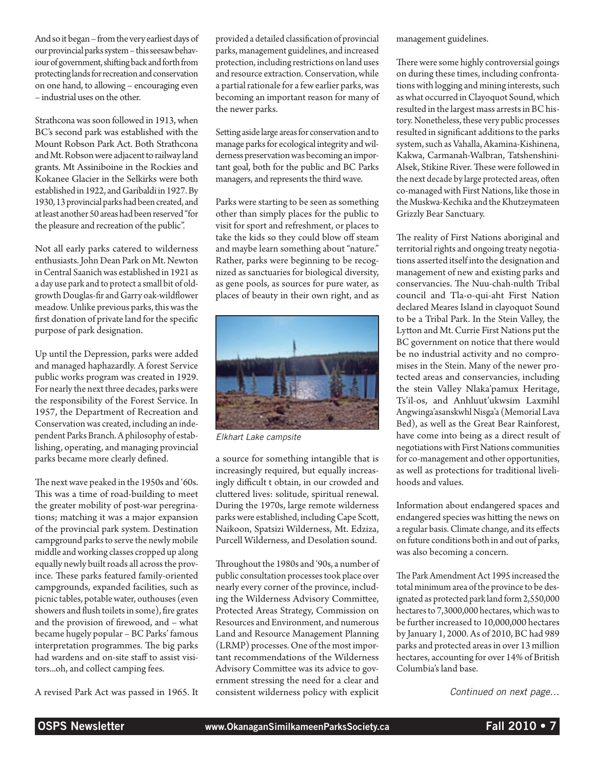And so it began – from the very earliest days of our provincial parks system – this seesaw behaviour of government, shifting back and forth from protecting lands for recreation and conservation on one hand, to allowing – encouraging even – industrial uses on the other.

Strathcona was soon followed in 1913, when BC's second park was established with the Mount Robson Park Act. Both Strathcona and Mt. Robson were adjacent to railway land grants. Mt Assiniboine in the Rockies and Kokanee Glacier in the Selkirks were both established in 1922, and Garibaldi in 1927. By 1930, 13 provincial parks had been created, and at least another 50 areas had been reserved "for the pleasure and recreation of the public".

Not all early parks catered to wilderness enthusiasts. John Dean Park on Mt. Newton in Central Saanich was established in 1921 as a day use park and to protect a small bit of oldgrowth Douglas-fir and Garry oak-wildflower meadow. Unlike previous parks, this was the first donation of private land for the specific purpose of park designation.

Up until the Depression, parks were added and managed haphazardly. A forest Service public works program was created in 1929. For nearly the next three decades, parks were the responsibility of the Forest Service. In 1957, the Department of Recreation and Conservation was created, including an independent Parks Branch. A philosophy of establishing, operating, and managing provincial parks became more clearly defined.

The next wave peaked in the 1950s and '60s. This was a time of road-building to meet the greater mobility of post-war peregrinations; matching it was a major expansion of the provincial park system. Destination campground parks to serve the newly mobile middle and working classes cropped up along equally newly built roads all across the province. These parks featured family-oriented campgrounds, expanded facilities, such as picnic tables, potable water, outhouses (even showers and flush toilets in some), fire grates and the provision of firewood, and – what became hugely popular – BC Parks' famous interpretation programmes. The big parks had wardens and on-site staff to assist visitors...oh, and collect camping fees.

A revised Park Act was passed in 1965. It

provided a detailed classification of provincial parks, management guidelines, and increased protection, including restrictions on land uses and resource extraction. Conservation, while a partial rationale for a few earlier parks, was becoming an important reason for many of the newer parks.

Setting aside large areas for conservation and to manage parks for ecological integrity and wilderness preservation was becoming an important goal, both for the public and BC Parks managers, and represents the third wave.

Parks were starting to be seen as something other than simply places for the public to visit for sport and refreshment, or places to take the kids so they could blow off steam and maybe learn something about "nature." Rather, parks were beginning to be recognized as sanctuaries for biological diversity, as gene pools, as sources for pure water, as places of beauty in their own right, and as



*Elkhart Lake campsite*

a source for something intangible that is increasingly required, but equally increasingly difficult t obtain, in our crowded and cluttered lives: solitude, spiritual renewal. During the 1970s, large remote wilderness parks were established, including Cape Scott, Naikoon, Spatsizi Wilderness, Mt. Edziza, Purcell Wilderness, and Desolation sound.

Throughout the 1980s and '90s, a number of public consultation processes took place over nearly every corner of the province, including the Wilderness Advisory Committee, Protected Areas Strategy, Commission on Resources and Environment, and numerous Land and Resource Management Planning (LRMP) processes. One of the most important recommendations of the Wilderness Advisory Committee was its advice to government stressing the need for a clear and consistent wilderness policy with explicit management guidelines.

There were some highly controversial goings on during these times, including confrontations with logging and mining interests, such as what occurred in Clayoquot Sound, which resulted in the largest mass arrests in BC history. Nonetheless, these very public processes resulted in significant additions to the parks system, such as Vahalla, Akamina-Kishinena, Kakwa, Carmanah-Walbran, Tatshenshini-Alsek, Stikine River. These were followed in the next decade by large protected areas, often co-managed with First Nations, like those in the Muskwa-Kechika and the Khutzeymateen Grizzly Bear Sanctuary.

The reality of First Nations aboriginal and territorial rights and ongoing treaty negotiations asserted itself into the designation and management of new and existing parks and conservancies. The Nuu-chah-nulth Tribal council and Tla-o-qui-aht First Nation declared Meares Island in clayoquot Sound to be a Tribal Park. In the Stein Valley, the Lytton and Mt. Currie First Nations put the BC government on notice that there would be no industrial activity and no compromises in the Stein. Many of the newer protected areas and conservancies, including the stein Valley Nlaka'pamux Heritage, Ts'il-os, and Anhluut'ukwsim Laxmihl Angwinga'asanskwhl Nisga'a (Memorial Lava Bed), as well as the Great Bear Rainforest, have come into being as a direct result of negotiations with First Nations communities for co-management and other opportunities, as well as protections for traditional livelihoods and values.

Information about endangered spaces and endangered species was hitting the news on a regular basis. Climate change, and its effects on future conditions both in and out of parks, was also becoming a concern.

The Park Amendment Act 1995 increased the total minimum area of the province to be designated as protected park land form 2,550,000 hectares to 7,3000,000 hectares, which was to be further increased to 10,000,000 hectares by January 1, 2000. As of 2010, BC had 989 parks and protected areas in over 13 million hectares, accounting for over 14% of British Columbia's land base.

*Continued on next page…*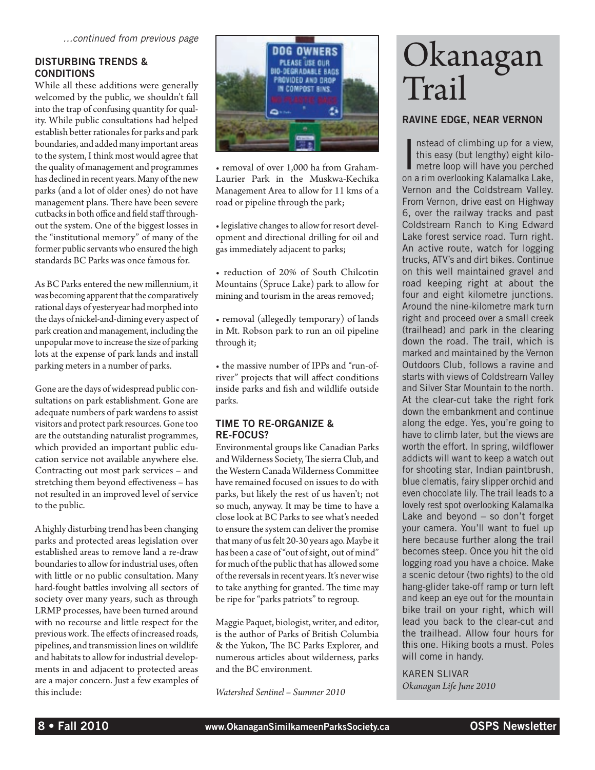#### DISTURBING TRENDS & **CONDITIONS**

While all these additions were generally welcomed by the public, we shouldn't fall into the trap of confusing quantity for quality. While public consultations had helped establish better rationales for parks and park boundaries, and added many important areas to the system, I think most would agree that the quality of management and programmes has declined in recent years. Many of the new parks (and a lot of older ones) do not have management plans. There have been severe cutbacks in both office and field staff throughout the system. One of the biggest losses in the "institutional memory" of many of the former public servants who ensured the high standards BC Parks was once famous for.

As BC Parks entered the new millennium, it was becoming apparent that the comparatively rational days of yesteryear had morphed into the days of nickel-and-diming every aspect of park creation and management, including the unpopular move to increase the size of parking lots at the expense of park lands and install parking meters in a number of parks.

Gone are the days of widespread public consultations on park establishment. Gone are adequate numbers of park wardens to assist visitors and protect park resources. Gone too are the outstanding naturalist programmes, which provided an important public education service not available anywhere else. Contracting out most park services – and stretching them beyond effectiveness – has not resulted in an improved level of service to the public.

A highly disturbing trend has been changing parks and protected areas legislation over established areas to remove land a re-draw boundaries to allow for industrial uses, often with little or no public consultation. Many hard-fought battles involving all sectors of society over many years, such as through LRMP processes, have been turned around with no recourse and little respect for the previous work. The effects of increased roads, pipelines, and transmission lines on wildlife and habitats to allow for industrial developments in and adjacent to protected areas are a major concern. Just a few examples of this include:



• removal of over 1,000 ha from Graham-Laurier Park in the Muskwa-Kechika Management Area to allow for 11 kms of a road or pipeline through the park;

• legislative changes to allow for resort development and directional drilling for oil and gas immediately adjacent to parks;

• reduction of 20% of South Chilcotin Mountains (Spruce Lake) park to allow for mining and tourism in the areas removed;

• removal (allegedly temporary) of lands in Mt. Robson park to run an oil pipeline through it;

• the massive number of IPPs and "run-ofriver" projects that will affect conditions inside parks and fish and wildlife outside parks.

#### TIME TO RE-ORGANIZE & RE-FOCUS?

Environmental groups like Canadian Parks and Wilderness Society, The sierra Club, and the Western Canada Wilderness Committee have remained focused on issues to do with parks, but likely the rest of us haven't; not so much, anyway. It may be time to have a close look at BC Parks to see what's needed to ensure the system can deliver the promise that many of us felt 20-30 years ago. Maybe it has been a case of "out of sight, out of mind" for much of the public that has allowed some of the reversals in recent years. It's never wise to take anything for granted. The time may be ripe for "parks patriots" to regroup.

Maggie Paquet, biologist, writer, and editor, is the author of Parks of British Columbia & the Yukon, The BC Parks Explorer, and numerous articles about wilderness, parks and the BC environment.

*Watershed Sentinel – Summer 2010*

# Okanagan Trail

#### Ravine Edge, Near Vernon

Instead of climbing up for a view,<br>this easy (but lengthy) eight kilo-<br>metre loop will have you perched<br>an a rim avariabling Kelomelical also nstead of climbing up for a view, this easy (but lengthy) eight kiloon a rim overlooking Kalamalka Lake, Vernon and the Coldstream Valley. From Vernon, drive east on Highway 6, over the railway tracks and past Coldstream Ranch to King Edward Lake forest service road. Turn right. An active route, watch for logging trucks, ATV's and dirt bikes. Continue on this well maintained gravel and road keeping right at about the four and eight kilometre junctions. Around the nine-kilometre mark turn right and proceed over a small creek (trailhead) and park in the clearing down the road. The trail, which is marked and maintained by the Vernon Outdoors Club, follows a ravine and starts with views of Coldstream Valley and Silver Star Mountain to the north. At the clear-cut take the right fork down the embankment and continue along the edge. Yes, you're going to have to climb later, but the views are worth the effort. In spring, wildflower addicts will want to keep a watch out for shooting star, Indian paintbrush, blue clematis, fairy slipper orchid and even chocolate lily. The trail leads to a lovely rest spot overlooking Kalamalka Lake and beyond – so don't forget your camera. You'll want to fuel up here because further along the trail becomes steep. Once you hit the old logging road you have a choice. Make a scenic detour (two rights) to the old hang-glider take-off ramp or turn left and keep an eye out for the mountain bike trail on your right, which will lead you back to the clear-cut and the trailhead. Allow four hours for this one. Hiking boots a must. Poles will come in handy.

Karen Slivar *Okanagan Life June 2010*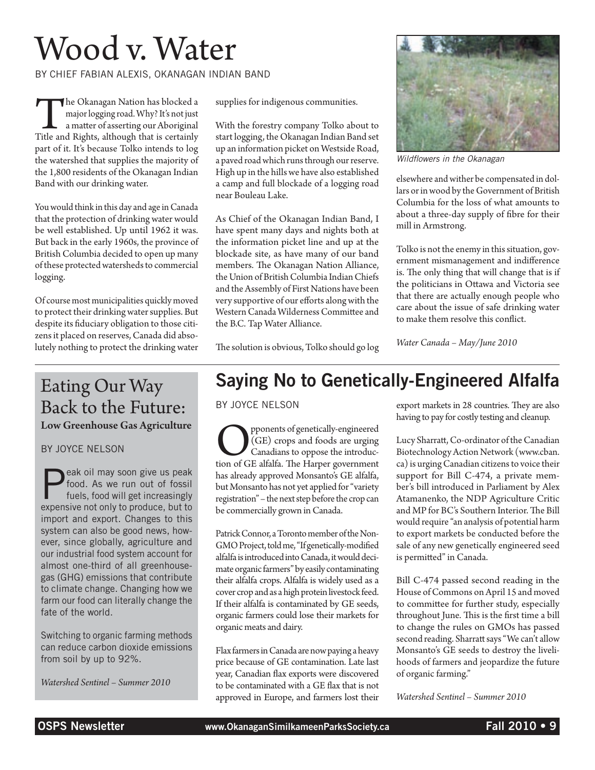# Wood v. Water

by Chief Fabian Alexis, Okanagan Indian Band

The Okanagan Nation has blocked a major logging road. Why? It's not just a matter of asserting our Aboriginal Title and Rights, although that is certainly major logging road. Why? It's not just **L** a matter of asserting our Aboriginal part of it. It's because Tolko intends to log the watershed that supplies the majority of the 1,800 residents of the Okanagan Indian Band with our drinking water.

You would think in this day and age in Canada that the protection of drinking water would be well established. Up until 1962 it was. But back in the early 1960s, the province of British Columbia decided to open up many of these protected watersheds to commercial logging.

Of course most municipalities quickly moved to protect their drinking water supplies. But despite its fiduciary obligation to those citizens it placed on reserves, Canada did absolutely nothing to protect the drinking water

### Eating Our Way Back to the Future: Low Greenhouse Gas Agriculture

by Joyce Nelson

eak oil may soon give us peak food. As we run out of fossil fuels, food will get increasingly expensive not only to produce, but to import and export. Changes to this system can also be good news, however, since globally, agriculture and our industrial food system account for almost one-third of all greenhousegas (GHG) emissions that contribute to climate change. Changing how we farm our food can literally change the fate of the world.

Switching to organic farming methods can reduce carbon dioxide emissions from soil by up to 92%.

*Watershed Sentinel – Summer 2010*

supplies for indigenous communities.

With the forestry company Tolko about to start logging, the Okanagan Indian Band set up an information picket on Westside Road, a paved road which runs through our reserve. High up in the hills we have also established a camp and full blockade of a logging road near Bouleau Lake.

As Chief of the Okanagan Indian Band, I have spent many days and nights both at the information picket line and up at the blockade site, as have many of our band members. The Okanagan Nation Alliance, the Union of British Columbia Indian Chiefs and the Assembly of First Nations have been very supportive of our efforts along with the Western Canada Wilderness Committee and the B.C. Tap Water Alliance.



*Wildflowers in the Okanagan*

elsewhere and wither be compensated in dollars or in wood by the Government of British Columbia for the loss of what amounts to about a three-day supply of fibre for their mill in Armstrong.

Tolko is not the enemy in this situation, government mismanagement and indifference is. The only thing that will change that is if the politicians in Ottawa and Victoria see that there are actually enough people who care about the issue of safe drinking water to make them resolve this conflict.

*Water Canada – May/June 2010*

The solution is obvious, Tolko should go log

## Saying No to Genetically-Engineered Alfalfa

by Joyce Nelson

Opponents of genetically-engineered tion of GE alfalfa. The Harper government (GE) crops and foods are urging Canadians to oppose the introduchas already approved Monsanto's GE alfalfa, but Monsanto has not yet applied for "variety registration" – the next step before the crop can be commercially grown in Canada.

Patrick Connor, a Toronto member of the Non-GMO Project, told me, "If genetically-modified alfalfa is introduced into Canada, it would decimate organic farmers" by easily contaminating their alfalfa crops. Alfalfa is widely used as a cover crop and as a high protein livestock feed. If their alfalfa is contaminated by GE seeds, organic farmers could lose their markets for organic meats and dairy.

Flax farmers in Canada are now paying a heavy price because of GE contamination. Late last year, Canadian flax exports were discovered to be contaminated with a GE flax that is not approved in Europe, and farmers lost their export markets in 28 countries. They are also having to pay for costly testing and cleanup.

Lucy Sharratt, Co-ordinator of the Canadian Biotechnology Action Network (www.cban. ca) is urging Canadian citizens to voice their support for Bill C-474, a private member's bill introduced in Parliament by Alex Atamanenko, the NDP Agriculture Critic and MP for BC's Southern Interior. The Bill would require "an analysis of potential harm to export markets be conducted before the sale of any new genetically engineered seed is permitted" in Canada.

Bill C-474 passed second reading in the House of Commons on April 15 and moved to committee for further study, especially throughout June. This is the first time a bill to change the rules on GMOs has passed second reading. Sharratt says "We can't allow Monsanto's GE seeds to destroy the livelihoods of farmers and jeopardize the future of organic farming."

*Watershed Sentinel – Summer 2010*